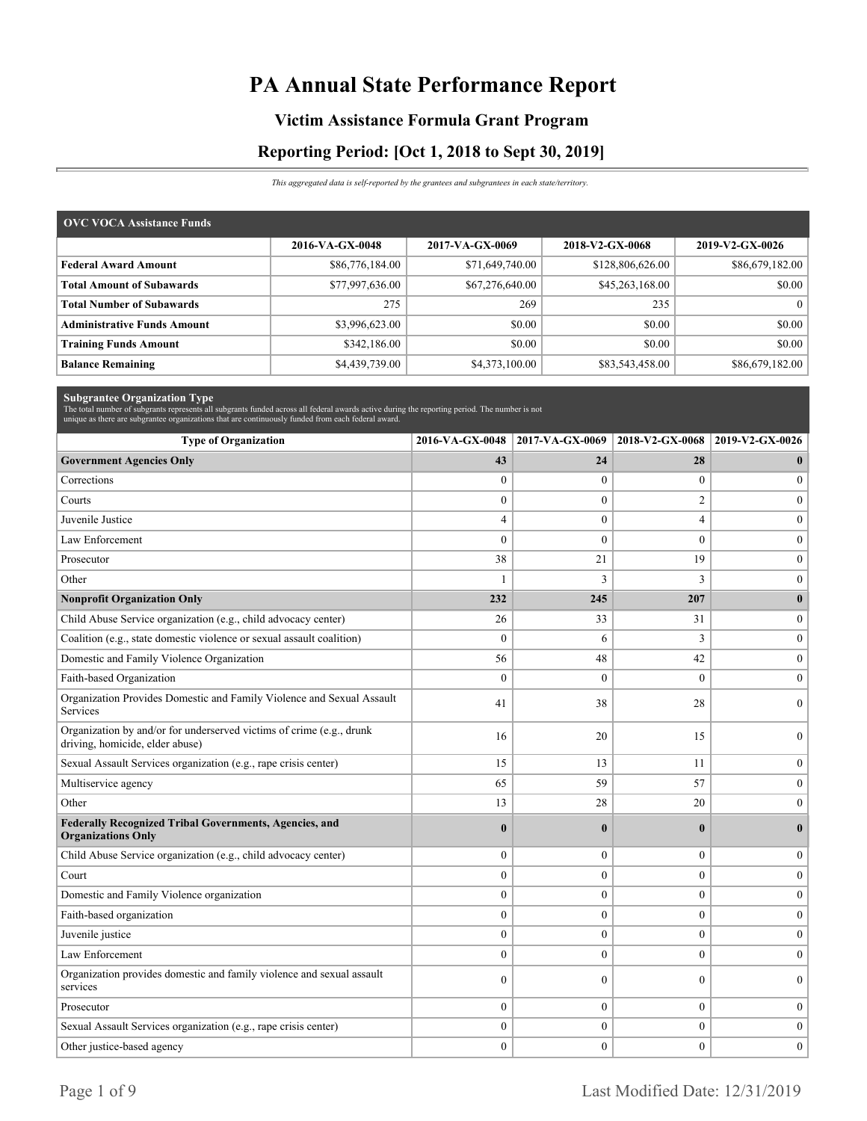# **PA Annual State Performance Report**

### **Victim Assistance Formula Grant Program**

### **Reporting Period: [Oct 1, 2018 to Sept 30, 2019]**

*This aggregated data is self-reported by the grantees and subgrantees in each state/territory.*

| <b>OVC VOCA Assistance Funds</b>   |                 |                 |                  |                 |
|------------------------------------|-----------------|-----------------|------------------|-----------------|
|                                    | 2016-VA-GX-0048 | 2017-VA-GX-0069 | 2018-V2-GX-0068  | 2019-V2-GX-0026 |
| <b>Federal Award Amount</b>        | \$86,776,184.00 | \$71,649,740.00 | \$128,806,626.00 | \$86,679,182.00 |
| <b>Total Amount of Subawards</b>   | \$77,997,636.00 | \$67,276,640.00 | \$45,263,168.00  | \$0.00          |
| <b>Total Number of Subawards</b>   | 275             | 269             | 235              |                 |
| <b>Administrative Funds Amount</b> | \$3,996,623.00  | \$0.00          | \$0.00           | \$0.00          |
| <b>Training Funds Amount</b>       | \$342,186.00    | \$0.00          | \$0.00           | \$0.00          |
| <b>Balance Remaining</b>           | \$4,439,739.00  | \$4,373,100.00  | \$83,543,458.00  | \$86,679,182.00 |

| <b>Subgrantee Organization Type</b><br>The total number of subgrants represents all subgrants funded across all federal awards active during the reporting period. The number is not |                  |                  |                  |                  |
|--------------------------------------------------------------------------------------------------------------------------------------------------------------------------------------|------------------|------------------|------------------|------------------|
| unique as there are subgrantee organizations that are continuously funded from each federal award.                                                                                   |                  |                  |                  |                  |
| <b>Type of Organization</b>                                                                                                                                                          | 2016-VA-GX-0048  | 2017-VA-GX-0069  | 2018-V2-GX-0068  | 2019-V2-GX-0026  |
| <b>Government Agencies Only</b>                                                                                                                                                      | 43               | 24               | 28               | $\mathbf{0}$     |
| Corrections                                                                                                                                                                          | $\boldsymbol{0}$ | $\boldsymbol{0}$ | $\boldsymbol{0}$ | $\mathbf{0}$     |
| Courts                                                                                                                                                                               | $\overline{0}$   | $\mathbf{0}$     | $\overline{2}$   | $\theta$         |
| Juvenile Justice                                                                                                                                                                     | 4                | $\mathbf{0}$     | $\overline{4}$   | $\mathbf{0}$     |
| Law Enforcement                                                                                                                                                                      | $\overline{0}$   | $\mathbf{0}$     | $\mathbf{0}$     | $\boldsymbol{0}$ |
| Prosecutor                                                                                                                                                                           | 38               | 21               | 19               | $\mathbf{0}$     |
| Other                                                                                                                                                                                | 1                | 3                | 3                | $\mathbf{0}$     |
| <b>Nonprofit Organization Only</b>                                                                                                                                                   | 232              | 245              | 207              | $\bf{0}$         |
| Child Abuse Service organization (e.g., child advocacy center)                                                                                                                       | 26               | 33               | 31               | $\boldsymbol{0}$ |
| Coalition (e.g., state domestic violence or sexual assault coalition)                                                                                                                | $\mathbf{0}$     | 6                | 3                | $\mathbf{0}$     |
| Domestic and Family Violence Organization                                                                                                                                            | 56               | 48               | 42               | $\boldsymbol{0}$ |
| Faith-based Organization                                                                                                                                                             | $\theta$         | $\mathbf{0}$     | $\theta$         | $\mathbf{0}$     |
| Organization Provides Domestic and Family Violence and Sexual Assault<br>Services                                                                                                    | 41               | 38               | 28               | $\theta$         |
| Organization by and/or for underserved victims of crime (e.g., drunk<br>driving, homicide, elder abuse)                                                                              | 16               | 20               | 15               | $\mathbf{0}$     |
| Sexual Assault Services organization (e.g., rape crisis center)                                                                                                                      | 15               | 13               | 11               | $\boldsymbol{0}$ |
| Multiservice agency                                                                                                                                                                  | 65               | 59               | 57               | $\mathbf{0}$     |
| Other                                                                                                                                                                                | 13               | 28               | 20               | $\mathbf{0}$     |
| Federally Recognized Tribal Governments, Agencies, and<br><b>Organizations Only</b>                                                                                                  | $\bf{0}$         | $\bf{0}$         | $\bf{0}$         | $\mathbf{0}$     |
| Child Abuse Service organization (e.g., child advocacy center)                                                                                                                       | $\mathbf{0}$     | $\mathbf{0}$     | $\mathbf{0}$     | $\mathbf{0}$     |
| Court                                                                                                                                                                                | $\boldsymbol{0}$ | $\boldsymbol{0}$ | $\overline{0}$   | $\boldsymbol{0}$ |
| Domestic and Family Violence organization                                                                                                                                            | $\Omega$         | $\mathbf{0}$     | $\theta$         | $\mathbf{0}$     |
| Faith-based organization                                                                                                                                                             | $\overline{0}$   | $\mathbf{0}$     | $\mathbf{0}$     | $\mathbf{0}$     |
| Juvenile justice                                                                                                                                                                     | $\mathbf{0}$     | $\mathbf{0}$     | $\theta$         | $\theta$         |
| Law Enforcement                                                                                                                                                                      | $\boldsymbol{0}$ | $\boldsymbol{0}$ | $\overline{0}$   | $\boldsymbol{0}$ |
| Organization provides domestic and family violence and sexual assault<br>services                                                                                                    | $\mathbf{0}$     | $\mathbf{0}$     | $\overline{0}$   | $\mathbf{0}$     |
| Prosecutor                                                                                                                                                                           | $\overline{0}$   | $\mathbf{0}$     | $\overline{0}$   | $\mathbf{0}$     |
| Sexual Assault Services organization (e.g., rape crisis center)                                                                                                                      | $\boldsymbol{0}$ | $\boldsymbol{0}$ | $\overline{0}$   | $\boldsymbol{0}$ |
| Other justice-based agency                                                                                                                                                           | $\overline{0}$   | $\Omega$         | $\theta$         | $\theta$         |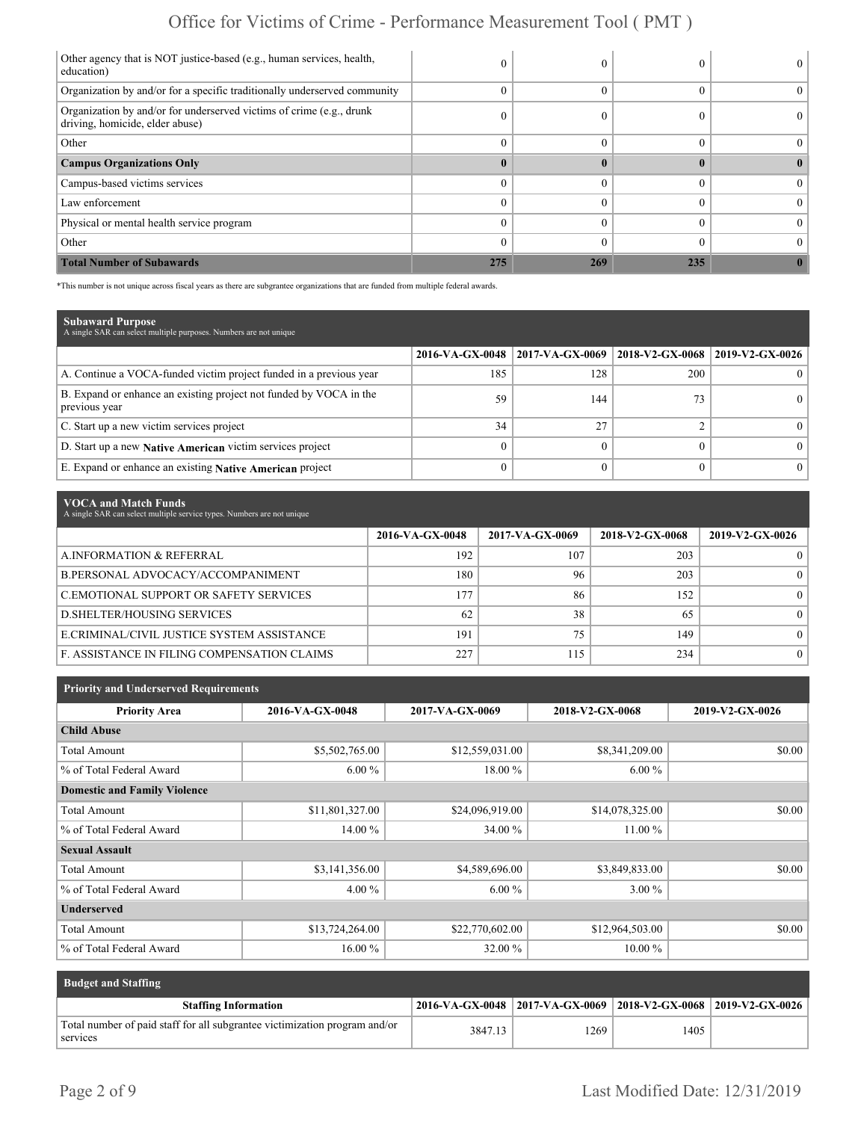## Office for Victims of Crime - Performance Measurement Tool ( PMT )

| Other agency that is NOT justice-based (e.g., human services, health,<br>education)                     |     |     |              |  |
|---------------------------------------------------------------------------------------------------------|-----|-----|--------------|--|
| Organization by and/or for a specific traditionally underserved community                               |     |     |              |  |
| Organization by and/or for underserved victims of crime (e.g., drunk<br>driving, homicide, elder abuse) |     |     |              |  |
| Other                                                                                                   | 0   |     |              |  |
| <b>Campus Organizations Only</b>                                                                        |     |     | $\mathbf{0}$ |  |
| Campus-based victims services                                                                           |     |     |              |  |
| Law enforcement                                                                                         |     |     |              |  |
| Physical or mental health service program                                                               |     |     |              |  |
| Other                                                                                                   |     |     |              |  |
| <b>Total Number of Subawards</b>                                                                        | 275 | 269 | 235          |  |

\*This number is not unique across fiscal years as there are subgrantee organizations that are funded from multiple federal awards.

| <b>Subaward Purpose</b><br>A single SAR can select multiple purposes. Numbers are not unique |                 |                 |                   |                   |
|----------------------------------------------------------------------------------------------|-----------------|-----------------|-------------------|-------------------|
|                                                                                              | 2016-VA-GX-0048 | 2017-VA-GX-0069 | $2018-V2-GX-0068$ | $2019-V2-GX-0026$ |
| A. Continue a VOCA-funded victim project funded in a previous year                           | 185             | 128             | 200               |                   |
| B. Expand or enhance an existing project not funded by VOCA in the<br>previous year          | 59              | 144             | 73                |                   |
| C. Start up a new victim services project                                                    | 34              | 27              |                   |                   |
| D. Start up a new Native American victim services project                                    |                 |                 |                   |                   |
| E. Expand or enhance an existing Native American project                                     |                 |                 |                   |                   |

| VOCA and Match Funds<br>A single SAR can select multiple service types. Numbers are not unique |                 |                 |                 |                 |
|------------------------------------------------------------------------------------------------|-----------------|-----------------|-----------------|-----------------|
|                                                                                                | 2016-VA-GX-0048 | 2017-VA-GX-0069 | 2018-V2-GX-0068 | 2019-V2-GX-0026 |
| A.INFORMATION & REFERRAL                                                                       | 192             | 107             | 203             |                 |
| B.PERSONAL ADVOCACY/ACCOMPANIMENT                                                              | 180             | 96              | 203             | 0               |
| C.EMOTIONAL SUPPORT OR SAFETY SERVICES                                                         | 177             | 86              | 152             | $\Omega$        |
| <b>D.SHELTER/HOUSING SERVICES</b>                                                              | 62              | 38              | 65              | $\theta$        |
| E.CRIMINAL/CIVIL JUSTICE SYSTEM ASSISTANCE                                                     | 191             | 75              | 149             | $\Omega$        |
| F. ASSISTANCE IN FILING COMPENSATION CLAIMS                                                    | 227             | 115             | 234             | $\Omega$        |

| <b>Priority and Underserved Requirements</b> |                 |                 |                 |                 |
|----------------------------------------------|-----------------|-----------------|-----------------|-----------------|
| <b>Priority Area</b>                         | 2016-VA-GX-0048 | 2017-VA-GX-0069 | 2018-V2-GX-0068 | 2019-V2-GX-0026 |
| <b>Child Abuse</b>                           |                 |                 |                 |                 |
| <b>Total Amount</b>                          | \$5,502,765.00  | \$12,559,031.00 | \$8,341,209.00  | \$0.00          |
| % of Total Federal Award                     | $6.00\%$        | 18.00 %         | $6.00\%$        |                 |
| <b>Domestic and Family Violence</b>          |                 |                 |                 |                 |
| Total Amount                                 | \$11,801,327.00 | \$24,096,919.00 | \$14,078,325.00 | \$0.00          |
| % of Total Federal Award                     | 14.00 %         | 34.00 %         | 11.00 %         |                 |
| <b>Sexual Assault</b>                        |                 |                 |                 |                 |
| <b>Total Amount</b>                          | \$3,141,356.00  | \$4,589,696.00  | \$3,849,833.00  | \$0.00          |
| % of Total Federal Award                     | $4.00\%$        | $6.00\%$        | $3.00\%$        |                 |
| <b>Underserved</b>                           |                 |                 |                 |                 |
| <b>Total Amount</b>                          | \$13,724,264.00 | \$22,770,602.00 | \$12,964,503.00 | \$0.00          |
| % of Total Federal Award                     | 16.00 %         | 32.00 %         | $10.00\%$       |                 |

| <b>Budget and Staffing</b>                                                             |         |                                                                 |      |  |
|----------------------------------------------------------------------------------------|---------|-----------------------------------------------------------------|------|--|
| <b>Staffing Information</b>                                                            |         | 2016-VA-GX-0048 2017-VA-GX-0069 2018-V2-GX-0068 2019-V2-GX-0026 |      |  |
| Total number of paid staff for all subgrantee victimization program and/or<br>services | 3847.13 | 1269                                                            | 1405 |  |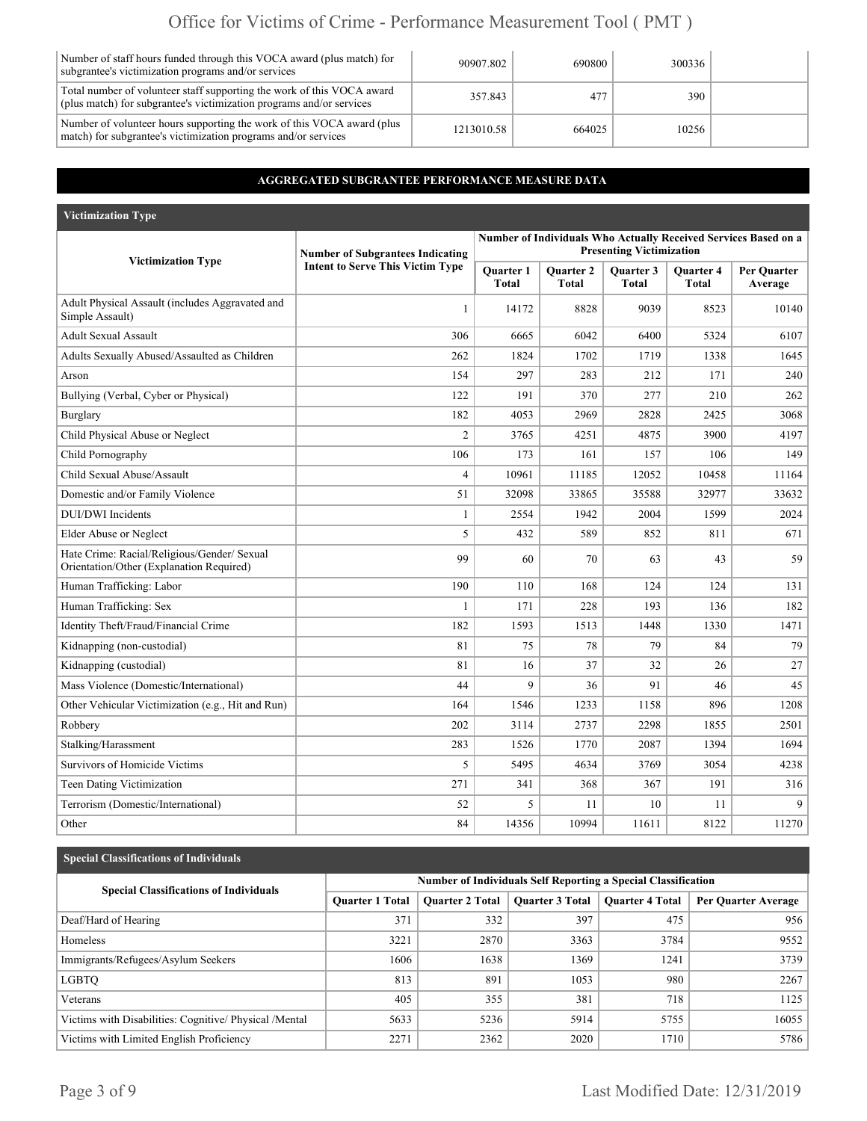## Office for Victims of Crime - Performance Measurement Tool ( PMT )

| Number of staff hours funded through this VOCA award (plus match) for<br>subgrantee's victimization programs and/or services                   | 90907.802  | 690800 | 300336 |  |
|------------------------------------------------------------------------------------------------------------------------------------------------|------------|--------|--------|--|
| Total number of volunteer staff supporting the work of this VOCA award<br>(plus match) for subgrantee's victimization programs and/or services | 357.843    | 477    | 390    |  |
| Number of volunteer hours supporting the work of this VOCA award (plus<br>match) for subgrantee's victimization programs and/or services       | 1213010.58 | 664025 | 10256  |  |

### **AGGREGATED SUBGRANTEE PERFORMANCE MEASURE DATA**

| <b>Victimization Type</b>                                                               |                                                                                    |                                  |                                  |                                  |                                  |                                                                 |
|-----------------------------------------------------------------------------------------|------------------------------------------------------------------------------------|----------------------------------|----------------------------------|----------------------------------|----------------------------------|-----------------------------------------------------------------|
|                                                                                         |                                                                                    |                                  |                                  |                                  |                                  | Number of Individuals Who Actually Received Services Based on a |
| <b>Victimization Type</b>                                                               | <b>Number of Subgrantees Indicating</b><br><b>Intent to Serve This Victim Type</b> |                                  |                                  | <b>Presenting Victimization</b>  |                                  |                                                                 |
|                                                                                         |                                                                                    | <b>Ouarter 1</b><br><b>Total</b> | <b>Ouarter 2</b><br><b>Total</b> | <b>Ouarter 3</b><br><b>Total</b> | <b>Ouarter 4</b><br><b>Total</b> | Per Ouarter<br>Average                                          |
| Adult Physical Assault (includes Aggravated and<br>Simple Assault)                      | $\mathbf{1}$                                                                       | 14172                            | 8828                             | 9039                             | 8523                             | 10140                                                           |
| <b>Adult Sexual Assault</b>                                                             | 306                                                                                | 6665                             | 6042                             | 6400                             | 5324                             | 6107                                                            |
| Adults Sexually Abused/Assaulted as Children                                            | 262                                                                                | 1824                             | 1702                             | 1719                             | 1338                             | 1645                                                            |
| Arson                                                                                   | 154                                                                                | 297                              | 283                              | 212                              | 171                              | 240                                                             |
| Bullying (Verbal, Cyber or Physical)                                                    | 122                                                                                | 191                              | 370                              | 277                              | 210                              | 262                                                             |
| Burglary                                                                                | 182                                                                                | 4053                             | 2969                             | 2828                             | 2425                             | 3068                                                            |
| Child Physical Abuse or Neglect                                                         | $\overline{2}$                                                                     | 3765                             | 4251                             | 4875                             | 3900                             | 4197                                                            |
| Child Pornography                                                                       | 106                                                                                | 173                              | 161                              | 157                              | 106                              | 149                                                             |
| Child Sexual Abuse/Assault                                                              | 4                                                                                  | 10961                            | 11185                            | 12052                            | 10458                            | 11164                                                           |
| Domestic and/or Family Violence                                                         | 51                                                                                 | 32098                            | 33865                            | 35588                            | 32977                            | 33632                                                           |
| <b>DUI/DWI</b> Incidents                                                                | $\mathbf{1}$                                                                       | 2554                             | 1942                             | 2004                             | 1599                             | 2024                                                            |
| Elder Abuse or Neglect                                                                  | 5                                                                                  | 432                              | 589                              | 852                              | 811                              | 671                                                             |
| Hate Crime: Racial/Religious/Gender/ Sexual<br>Orientation/Other (Explanation Required) | 99                                                                                 | 60                               | 70                               | 63                               | 43                               | 59                                                              |
| Human Trafficking: Labor                                                                | 190                                                                                | 110                              | 168                              | 124                              | 124                              | 131                                                             |
| Human Trafficking: Sex                                                                  | $\mathbf{1}$                                                                       | 171                              | 228                              | 193                              | 136                              | 182                                                             |
| Identity Theft/Fraud/Financial Crime                                                    | 182                                                                                | 1593                             | 1513                             | 1448                             | 1330                             | 1471                                                            |
| Kidnapping (non-custodial)                                                              | 81                                                                                 | 75                               | 78                               | 79                               | 84                               | 79                                                              |
| Kidnapping (custodial)                                                                  | 81                                                                                 | 16                               | 37                               | 32                               | 26                               | 27                                                              |
| Mass Violence (Domestic/International)                                                  | 44                                                                                 | 9                                | 36                               | 91                               | 46                               | 45                                                              |
| Other Vehicular Victimization (e.g., Hit and Run)                                       | 164                                                                                | 1546                             | 1233                             | 1158                             | 896                              | 1208                                                            |
| Robbery                                                                                 | 202                                                                                | 3114                             | 2737                             | 2298                             | 1855                             | 2501                                                            |
| Stalking/Harassment                                                                     | 283                                                                                | 1526                             | 1770                             | 2087                             | 1394                             | 1694                                                            |
| Survivors of Homicide Victims                                                           | 5                                                                                  | 5495                             | 4634                             | 3769                             | 3054                             | 4238                                                            |
| Teen Dating Victimization                                                               | 271                                                                                | 341                              | 368                              | 367                              | 191                              | 316                                                             |
| Terrorism (Domestic/International)                                                      | 52                                                                                 | 5                                | 11                               | 10                               | 11                               | 9                                                               |
| Other                                                                                   | 84                                                                                 | 14356                            | 10994                            | 11611                            | 8122                             | 11270                                                           |

#### **Special Classifications of Individuals**

| <b>Special Classifications of Individuals</b>           | <b>Number of Individuals Self Reporting a Special Classification</b> |                        |                 |                        |                     |
|---------------------------------------------------------|----------------------------------------------------------------------|------------------------|-----------------|------------------------|---------------------|
|                                                         | <b>Ouarter 1 Total</b>                                               | <b>Ouarter 2 Total</b> | Quarter 3 Total | <b>Ouarter 4 Total</b> | Per Quarter Average |
| Deaf/Hard of Hearing                                    | 371                                                                  | 332                    | 397             | 475                    | 956                 |
| Homeless                                                | 3221                                                                 | 2870                   | 3363            | 3784                   | 9552                |
| Immigrants/Refugees/Asylum Seekers                      | 1606                                                                 | 1638                   | 1369            | 1241                   | 3739                |
| <b>LGBTO</b>                                            | 813                                                                  | 891                    | 1053            | 980                    | 2267                |
| Veterans                                                | 405                                                                  | 355                    | 381             | 718                    | 1125                |
| Victims with Disabilities: Cognitive/ Physical / Mental | 5633                                                                 | 5236                   | 5914            | 5755                   | 16055               |
| Victims with Limited English Proficiency                | 2271                                                                 | 2362                   | 2020            | 1710                   | 5786                |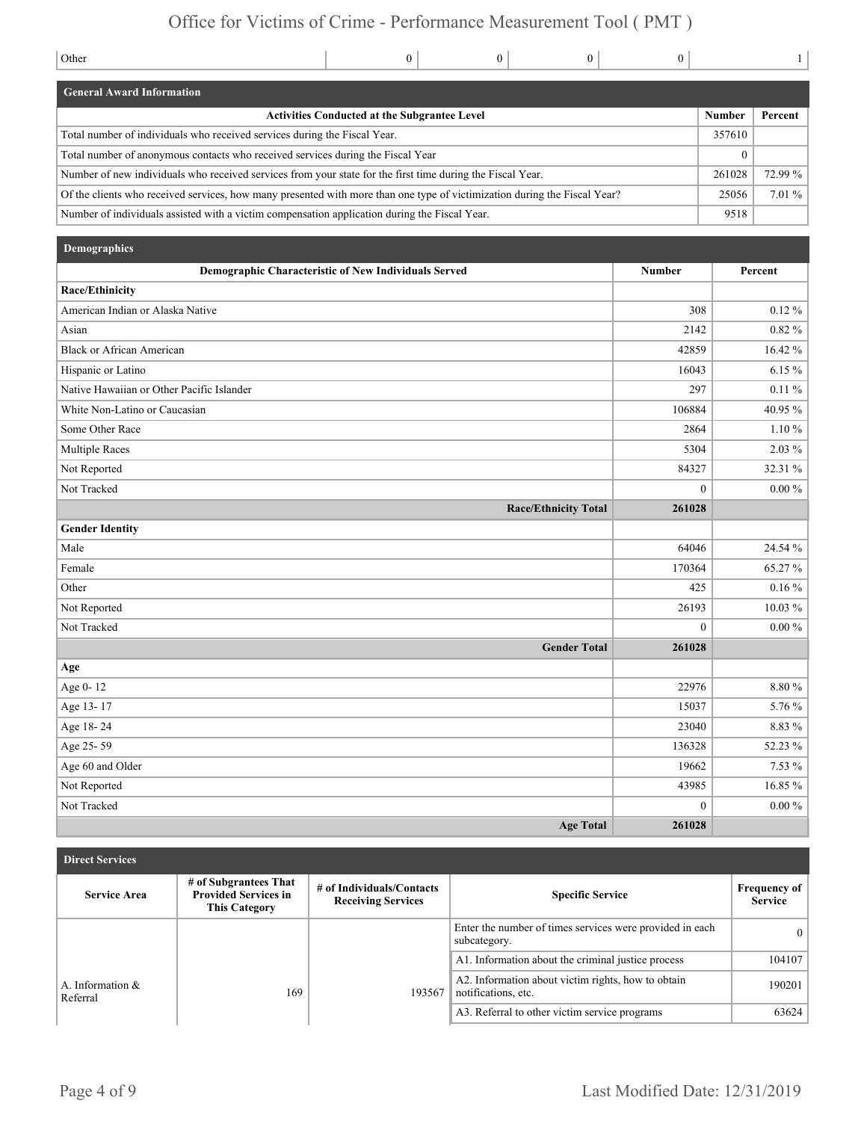### Office for Victims of Crime - Performance Measurement Tool ( PMT )

| Other                                                                                                                     |  | $\Omega$      |         |  |  |
|---------------------------------------------------------------------------------------------------------------------------|--|---------------|---------|--|--|
| <b>General Award Information</b>                                                                                          |  |               |         |  |  |
| <b>Activities Conducted at the Subgrantee Level</b>                                                                       |  | <b>Number</b> | Percent |  |  |
| Total number of individuals who received services during the Fiscal Year.                                                 |  |               |         |  |  |
| Total number of anonymous contacts who received services during the Fiscal Year                                           |  |               |         |  |  |
| Number of new individuals who received services from your state for the first time during the Fiscal Year.                |  |               |         |  |  |
| Of the clients who received services, how many presented with more than one type of victimization during the Fiscal Year? |  |               |         |  |  |
| Number of individuals assisted with a victim compensation application during the Fiscal Year.                             |  |               | 9518    |  |  |

| Demographics                                         |                |            |
|------------------------------------------------------|----------------|------------|
| Demographic Characteristic of New Individuals Served | <b>Number</b>  | Percent    |
| Race/Ethinicity                                      |                |            |
| American Indian or Alaska Native                     | 308            | $0.12 \%$  |
| Asian                                                | 2142           | $0.82 \%$  |
| <b>Black or African American</b>                     | 42859          | 16.42 %    |
| Hispanic or Latino                                   | 16043          | $6.15 \%$  |
| Native Hawaiian or Other Pacific Islander            | 297            | $0.11\%$   |
| White Non-Latino or Caucasian                        | 106884         | 40.95 %    |
| Some Other Race                                      | 2864           | $1.10 \%$  |
| Multiple Races                                       | 5304           | 2.03 %     |
| Not Reported                                         | 84327          | 32.31 %    |
| Not Tracked                                          | $\overline{0}$ | $0.00\,\%$ |
| <b>Race/Ethnicity Total</b>                          | 261028         |            |
| <b>Gender Identity</b>                               |                |            |
| Male                                                 | 64046          | 24.54 %    |
| Female                                               | 170364         | 65.27%     |
| Other                                                | 425            | $0.16\%$   |
| Not Reported                                         | 26193          | $10.03\%$  |
| Not Tracked                                          | $\theta$       | $0.00\%$   |
| <b>Gender Total</b>                                  | 261028         |            |
| Age                                                  |                |            |
| Age 0-12                                             | 22976          | $8.80\,\%$ |
| Age 13-17                                            | 15037          | 5.76 %     |
| Age 18-24                                            | 23040          | 8.83 %     |
| Age 25-59                                            | 136328         | 52.23 %    |
| Age 60 and Older                                     | 19662          | 7.53 %     |
| Not Reported                                         | 43985          | 16.85 %    |
| Not Tracked                                          | $\theta$       | $0.00\,\%$ |
| <b>Age Total</b>                                     | 261028         |            |

| <b>Direct Services</b> |                                 |                                                                              |                                                        |                                                                           |                                       |  |  |  |
|------------------------|---------------------------------|------------------------------------------------------------------------------|--------------------------------------------------------|---------------------------------------------------------------------------|---------------------------------------|--|--|--|
|                        | <b>Service Area</b>             | # of Subgrantees That<br><b>Provided Services in</b><br><b>This Category</b> | # of Individuals/Contacts<br><b>Receiving Services</b> | <b>Specific Service</b>                                                   | <b>Frequency of</b><br><b>Service</b> |  |  |  |
|                        |                                 |                                                                              |                                                        | Enter the number of times services were provided in each<br>subcategory.  | $\theta$                              |  |  |  |
|                        |                                 |                                                                              |                                                        | A1. Information about the criminal justice process                        | 104107                                |  |  |  |
|                        | A. Information $\&$<br>Referral | 169                                                                          | 193567                                                 | A2. Information about victim rights, how to obtain<br>notifications, etc. | 190201                                |  |  |  |
|                        |                                 |                                                                              |                                                        | A3. Referral to other victim service programs                             | 63624                                 |  |  |  |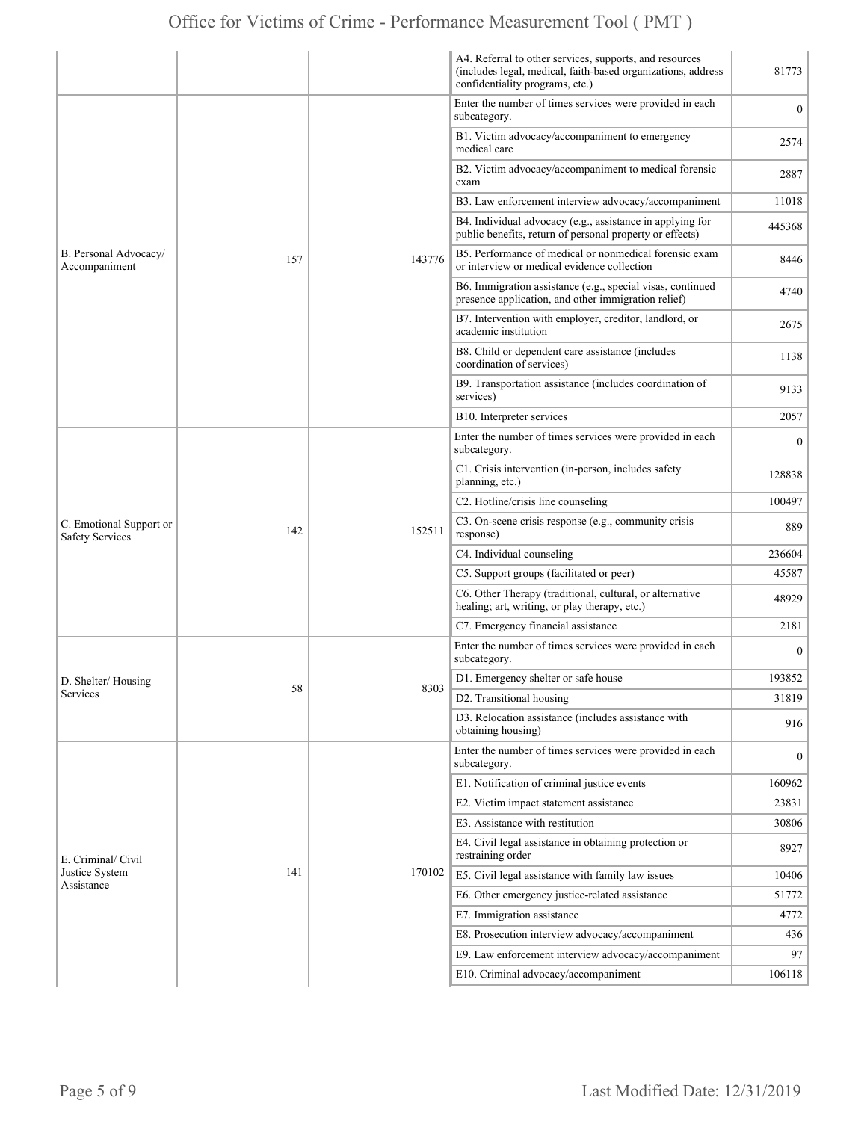|                                                   |     |        | A4. Referral to other services, supports, and resources<br>(includes legal, medical, faith-based organizations, address<br>confidentiality programs, etc.) | 81773          |
|---------------------------------------------------|-----|--------|------------------------------------------------------------------------------------------------------------------------------------------------------------|----------------|
|                                                   | 157 | 143776 | Enter the number of times services were provided in each<br>subcategory.                                                                                   | $\mathbf{0}$   |
|                                                   |     |        | B1. Victim advocacy/accompaniment to emergency<br>medical care                                                                                             | 2574           |
|                                                   |     |        | B2. Victim advocacy/accompaniment to medical forensic<br>exam                                                                                              | 2887           |
|                                                   |     |        | B3. Law enforcement interview advocacy/accompaniment                                                                                                       | 11018          |
|                                                   |     |        | B4. Individual advocacy (e.g., assistance in applying for<br>public benefits, return of personal property or effects)                                      | 445368         |
| B. Personal Advocacy/<br>Accompaniment            |     |        | B5. Performance of medical or nonmedical forensic exam<br>or interview or medical evidence collection                                                      | 8446           |
|                                                   |     |        | B6. Immigration assistance (e.g., special visas, continued<br>presence application, and other immigration relief)                                          | 4740           |
|                                                   |     |        | B7. Intervention with employer, creditor, landlord, or<br>academic institution                                                                             | 2675           |
|                                                   |     |        | B8. Child or dependent care assistance (includes<br>coordination of services)                                                                              | 1138           |
|                                                   |     |        | B9. Transportation assistance (includes coordination of<br>services)                                                                                       | 9133           |
|                                                   |     |        | B10. Interpreter services                                                                                                                                  | 2057           |
|                                                   |     |        | Enter the number of times services were provided in each<br>subcategory.                                                                                   | $\theta$       |
|                                                   | 142 | 152511 | C1. Crisis intervention (in-person, includes safety<br>planning, etc.)                                                                                     | 128838         |
|                                                   |     |        | C2. Hotline/crisis line counseling                                                                                                                         | 100497         |
| C. Emotional Support or<br><b>Safety Services</b> |     |        | C3. On-scene crisis response (e.g., community crisis<br>response)                                                                                          | 889            |
|                                                   |     |        | C4. Individual counseling                                                                                                                                  | 236604         |
|                                                   |     |        | C5. Support groups (facilitated or peer)                                                                                                                   | 45587          |
|                                                   |     |        | C6. Other Therapy (traditional, cultural, or alternative<br>healing; art, writing, or play therapy, etc.)                                                  | 48929          |
|                                                   |     |        | C7. Emergency financial assistance                                                                                                                         | 2181           |
|                                                   | 58  | 8303   | Enter the number of times services were provided in each<br>subcategory.                                                                                   | $\overline{0}$ |
| D. Shelter/Housing                                |     |        | D1. Emergency shelter or safe house                                                                                                                        | 193852         |
| Services                                          |     |        | D2. Transitional housing                                                                                                                                   | 31819          |
|                                                   |     |        | D3. Relocation assistance (includes assistance with<br>obtaining housing)                                                                                  | 916            |
|                                                   | 141 | 170102 | Enter the number of times services were provided in each<br>subcategory.                                                                                   | $\overline{0}$ |
|                                                   |     |        | E1. Notification of criminal justice events                                                                                                                | 160962         |
|                                                   |     |        | E2. Victim impact statement assistance                                                                                                                     | 23831          |
|                                                   |     |        | E3. Assistance with restitution                                                                                                                            | 30806          |
| E. Criminal/ Civil                                |     |        | E4. Civil legal assistance in obtaining protection or<br>restraining order                                                                                 | 8927           |
| Justice System<br>Assistance                      |     |        | E5. Civil legal assistance with family law issues                                                                                                          | 10406          |
|                                                   |     |        | E6. Other emergency justice-related assistance                                                                                                             | 51772          |
|                                                   |     |        | E7. Immigration assistance                                                                                                                                 | 4772           |
|                                                   |     |        | E8. Prosecution interview advocacy/accompaniment                                                                                                           | 436            |
|                                                   |     |        | E9. Law enforcement interview advocacy/accompaniment                                                                                                       | 97             |
|                                                   |     |        | E10. Criminal advocacy/accompaniment                                                                                                                       | 106118         |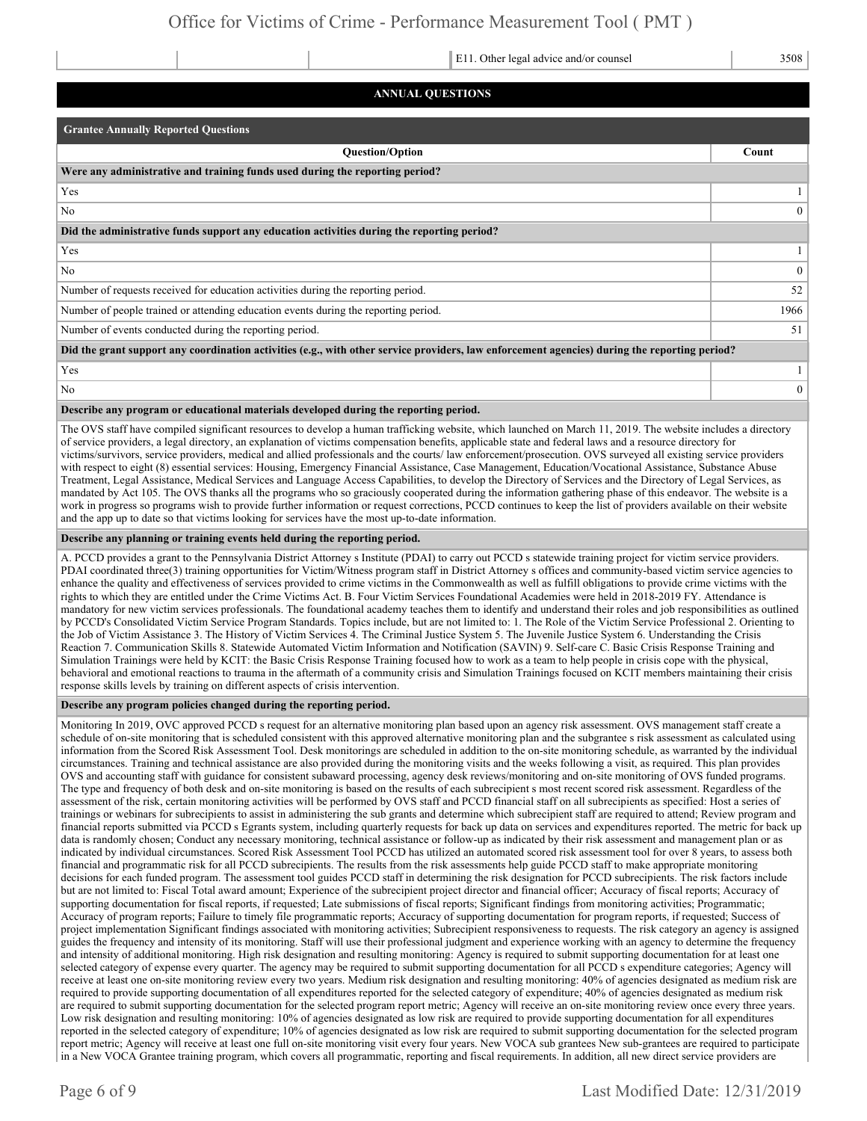E11. Other legal advice and/or counsel 3508

#### **ANNUAL QUESTIONS**

| <b>Grantee Annually Reported Questions</b>                                                                                                    |              |  |  |  |  |
|-----------------------------------------------------------------------------------------------------------------------------------------------|--------------|--|--|--|--|
| <b>Question/Option</b>                                                                                                                        | Count        |  |  |  |  |
| Were any administrative and training funds used during the reporting period?                                                                  |              |  |  |  |  |
| Yes                                                                                                                                           |              |  |  |  |  |
| N <sub>o</sub>                                                                                                                                | $\Omega$     |  |  |  |  |
| Did the administrative funds support any education activities during the reporting period?                                                    |              |  |  |  |  |
| Yes                                                                                                                                           |              |  |  |  |  |
| No                                                                                                                                            | $\theta$     |  |  |  |  |
| Number of requests received for education activities during the reporting period.                                                             |              |  |  |  |  |
| Number of people trained or attending education events during the reporting period.                                                           |              |  |  |  |  |
| Number of events conducted during the reporting period.                                                                                       | 51           |  |  |  |  |
| Did the grant support any coordination activities (e.g., with other service providers, law enforcement agencies) during the reporting period? |              |  |  |  |  |
| Yes                                                                                                                                           |              |  |  |  |  |
| No                                                                                                                                            | $\mathbf{0}$ |  |  |  |  |

#### **Describe any program or educational materials developed during the reporting period.**

The OVS staff have compiled significant resources to develop a human trafficking website, which launched on March 11, 2019. The website includes a directory of service providers, a legal directory, an explanation of victims compensation benefits, applicable state and federal laws and a resource directory for victims/survivors, service providers, medical and allied professionals and the courts/ law enforcement/prosecution. OVS surveyed all existing service providers with respect to eight (8) essential services: Housing, Emergency Financial Assistance, Case Management, Education/Vocational Assistance, Substance Abuse Treatment, Legal Assistance, Medical Services and Language Access Capabilities, to develop the Directory of Services and the Directory of Legal Services, as mandated by Act 105. The OVS thanks all the programs who so graciously cooperated during the information gathering phase of this endeavor. The website is a work in progress so programs wish to provide further information or request corrections, PCCD continues to keep the list of providers available on their website and the app up to date so that victims looking for services have the most up-to-date information.

#### **Describe any planning or training events held during the reporting period.**

A. PCCD provides a grant to the Pennsylvania District Attorney s Institute (PDAI) to carry out PCCD s statewide training project for victim service providers. PDAI coordinated three(3) training opportunities for Victim/Witness program staff in District Attorney s offices and community-based victim service agencies to enhance the quality and effectiveness of services provided to crime victims in the Commonwealth as well as fulfill obligations to provide crime victims with the rights to which they are entitled under the Crime Victims Act. B. Four Victim Services Foundational Academies were held in 2018-2019 FY. Attendance is mandatory for new victim services professionals. The foundational academy teaches them to identify and understand their roles and job responsibilities as outlined by PCCD's Consolidated Victim Service Program Standards. Topics include, but are not limited to: 1. The Role of the Victim Service Professional 2. Orienting to the Job of Victim Assistance 3. The History of Victim Services 4. The Criminal Justice System 5. The Juvenile Justice System 6. Understanding the Crisis Reaction 7. Communication Skills 8. Statewide Automated Victim Information and Notification (SAVIN) 9. Self-care C. Basic Crisis Response Training and Simulation Trainings were held by KCIT: the Basic Crisis Response Training focused how to work as a team to help people in crisis cope with the physical, behavioral and emotional reactions to trauma in the aftermath of a community crisis and Simulation Trainings focused on KCIT members maintaining their crisis response skills levels by training on different aspects of crisis intervention.

#### **Describe any program policies changed during the reporting period.**

Monitoring In 2019, OVC approved PCCD s request for an alternative monitoring plan based upon an agency risk assessment. OVS management staff create a schedule of on-site monitoring that is scheduled consistent with this approved alternative monitoring plan and the subgrantee s risk assessment as calculated using information from the Scored Risk Assessment Tool. Desk monitorings are scheduled in addition to the on-site monitoring schedule, as warranted by the individual circumstances. Training and technical assistance are also provided during the monitoring visits and the weeks following a visit, as required. This plan provides OVS and accounting staff with guidance for consistent subaward processing, agency desk reviews/monitoring and on-site monitoring of OVS funded programs. The type and frequency of both desk and on-site monitoring is based on the results of each subrecipient s most recent scored risk assessment. Regardless of the assessment of the risk, certain monitoring activities will be performed by OVS staff and PCCD financial staff on all subrecipients as specified: Host a series of trainings or webinars for subrecipients to assist in administering the sub grants and determine which subrecipient staff are required to attend; Review program and financial reports submitted via PCCD s Egrants system, including quarterly requests for back up data on services and expenditures reported. The metric for back up data is randomly chosen; Conduct any necessary monitoring, technical assistance or follow-up as indicated by their risk assessment and management plan or as indicated by individual circumstances. Scored Risk Assessment Tool PCCD has utilized an automated scored risk assessment tool for over 8 years, to assess both financial and programmatic risk for all PCCD subrecipients. The results from the risk assessments help guide PCCD staff to make appropriate monitoring decisions for each funded program. The assessment tool guides PCCD staff in determining the risk designation for PCCD subrecipients. The risk factors include but are not limited to: Fiscal Total award amount; Experience of the subrecipient project director and financial officer; Accuracy of fiscal reports; Accuracy of supporting documentation for fiscal reports, if requested; Late submissions of fiscal reports; Significant findings from monitoring activities; Programmatic; Accuracy of program reports; Failure to timely file programmatic reports; Accuracy of supporting documentation for program reports, if requested; Success of project implementation Significant findings associated with monitoring activities; Subrecipient responsiveness to requests. The risk category an agency is assigned guides the frequency and intensity of its monitoring. Staff will use their professional judgment and experience working with an agency to determine the frequency and intensity of additional monitoring. High risk designation and resulting monitoring: Agency is required to submit supporting documentation for at least one selected category of expense every quarter. The agency may be required to submit supporting documentation for all PCCD s expenditure categories; Agency will receive at least one on-site monitoring review every two years. Medium risk designation and resulting monitoring: 40% of agencies designated as medium risk are required to provide supporting documentation of all expenditures reported for the selected category of expenditure; 40% of agencies designated as medium risk are required to submit supporting documentation for the selected program report metric; Agency will receive an on-site monitoring review once every three years. Low risk designation and resulting monitoring: 10% of agencies designated as low risk are required to provide supporting documentation for all expenditures reported in the selected category of expenditure; 10% of agencies designated as low risk are required to submit supporting documentation for the selected program report metric; Agency will receive at least one full on-site monitoring visit every four years. New VOCA sub grantees New sub-grantees are required to participate in a New VOCA Grantee training program, which covers all programmatic, reporting and fiscal requirements. In addition, all new direct service providers are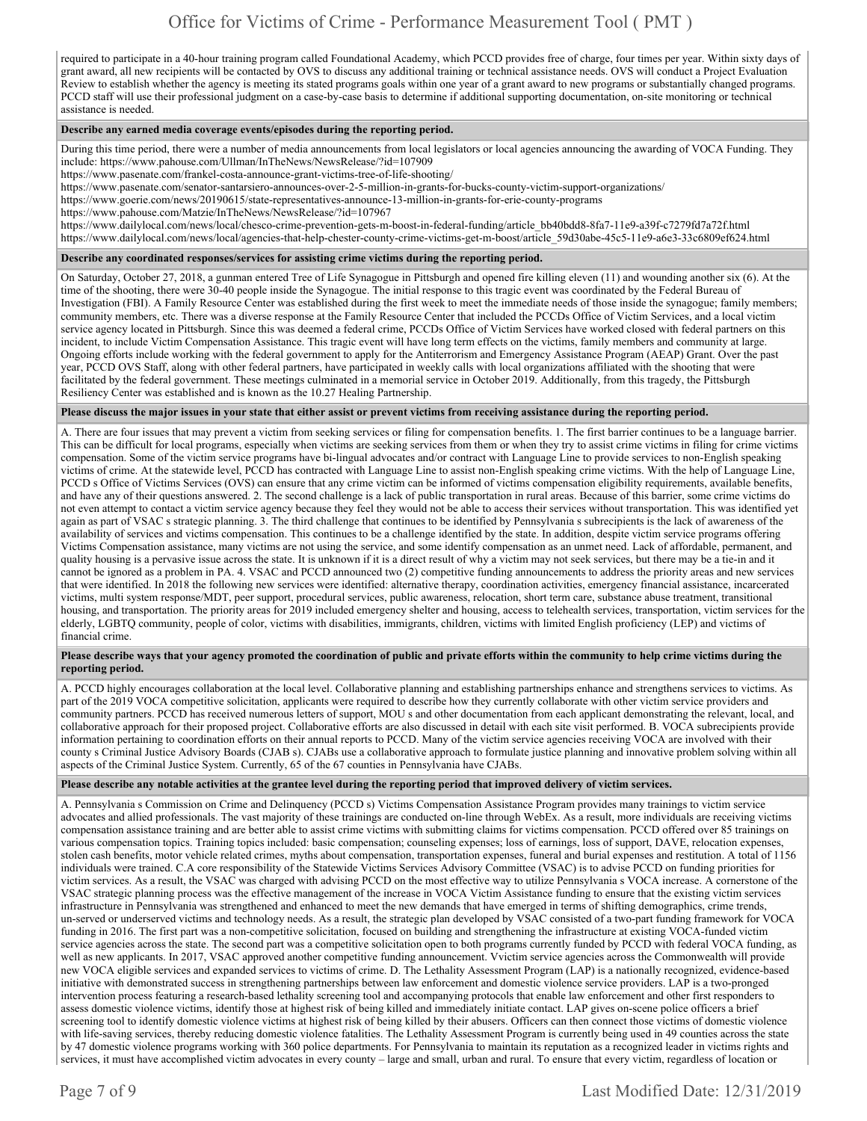required to participate in a 40-hour training program called Foundational Academy, which PCCD provides free of charge, four times per year. Within sixty days of grant award, all new recipients will be contacted by OVS to discuss any additional training or technical assistance needs. OVS will conduct a Project Evaluation Review to establish whether the agency is meeting its stated programs goals within one year of a grant award to new programs or substantially changed programs. PCCD staff will use their professional judgment on a case-by-case basis to determine if additional supporting documentation, on-site monitoring or technical assistance is needed.

#### **Describe any earned media coverage events/episodes during the reporting period.**

During this time period, there were a number of media announcements from local legislators or local agencies announcing the awarding of VOCA Funding. They include: https://www.pahouse.com/Ullman/InTheNews/NewsRelease/?id=107909

https://www.pasenate.com/frankel-costa-announce-grant-victims-tree-of-life-shooting/

https://www.pasenate.com/senator-santarsiero-announces-over-2-5-million-in-grants-for-bucks-county-victim-support-organizations/

https://www.goerie.com/news/20190615/state-representatives-announce-13-million-in-grants-for-erie-county-programs

https://www.pahouse.com/Matzie/InTheNews/NewsRelease/?id=107967

https://www.dailylocal.com/news/local/chesco-crime-prevention-gets-m-boost-in-federal-funding/article\_bb40bdd8-8fa7-11e9-a39f-c7279fd7a72f.html

https://www.dailylocal.com/news/local/agencies-that-help-chester-county-crime-victims-get-m-boost/article\_59d30abe-45c5-11e9-a6e3-33c6809ef624.html

#### **Describe any coordinated responses/services for assisting crime victims during the reporting period.**

On Saturday, October 27, 2018, a gunman entered Tree of Life Synagogue in Pittsburgh and opened fire killing eleven (11) and wounding another six (6). At the time of the shooting, there were 30-40 people inside the Synagogue. The initial response to this tragic event was coordinated by the Federal Bureau of Investigation (FBI). A Family Resource Center was established during the first week to meet the immediate needs of those inside the synagogue; family members; community members, etc. There was a diverse response at the Family Resource Center that included the PCCDs Office of Victim Services, and a local victim service agency located in Pittsburgh. Since this was deemed a federal crime, PCCDs Office of Victim Services have worked closed with federal partners on this incident, to include Victim Compensation Assistance. This tragic event will have long term effects on the victims, family members and community at large. Ongoing efforts include working with the federal government to apply for the Antiterrorism and Emergency Assistance Program (AEAP) Grant. Over the past year, PCCD OVS Staff, along with other federal partners, have participated in weekly calls with local organizations affiliated with the shooting that were facilitated by the federal government. These meetings culminated in a memorial service in October 2019. Additionally, from this tragedy, the Pittsburgh Resiliency Center was established and is known as the 10.27 Healing Partnership.

#### **Please discuss the major issues in your state that either assist or prevent victims from receiving assistance during the reporting period.**

A. There are four issues that may prevent a victim from seeking services or filing for compensation benefits. 1. The first barrier continues to be a language barrier. This can be difficult for local programs, especially when victims are seeking services from them or when they try to assist crime victims in filing for crime victims compensation. Some of the victim service programs have bi-lingual advocates and/or contract with Language Line to provide services to non-English speaking victims of crime. At the statewide level, PCCD has contracted with Language Line to assist non-English speaking crime victims. With the help of Language Line, PCCD s Office of Victims Services (OVS) can ensure that any crime victim can be informed of victims compensation eligibility requirements, available benefits, and have any of their questions answered. 2. The second challenge is a lack of public transportation in rural areas. Because of this barrier, some crime victims do not even attempt to contact a victim service agency because they feel they would not be able to access their services without transportation. This was identified yet again as part of VSAC s strategic planning. 3. The third challenge that continues to be identified by Pennsylvania s subrecipients is the lack of awareness of the availability of services and victims compensation. This continues to be a challenge identified by the state. In addition, despite victim service programs offering Victims Compensation assistance, many victims are not using the service, and some identify compensation as an unmet need. Lack of affordable, permanent, and quality housing is a pervasive issue across the state. It is unknown if it is a direct result of why a victim may not seek services, but there may be a tie-in and it cannot be ignored as a problem in PA. 4. VSAC and PCCD announced two (2) competitive funding announcements to address the priority areas and new services that were identified. In 2018 the following new services were identified: alternative therapy, coordination activities, emergency financial assistance, incarcerated victims, multi system response/MDT, peer support, procedural services, public awareness, relocation, short term care, substance abuse treatment, transitional housing, and transportation. The priority areas for 2019 included emergency shelter and housing, access to telehealth services, transportation, victim services for the elderly, LGBTQ community, people of color, victims with disabilities, immigrants, children, victims with limited English proficiency (LEP) and victims of financial crime.

#### **Please describe ways that your agency promoted the coordination of public and private efforts within the community to help crime victims during the reporting period.**

A. PCCD highly encourages collaboration at the local level. Collaborative planning and establishing partnerships enhance and strengthens services to victims. As part of the 2019 VOCA competitive solicitation, applicants were required to describe how they currently collaborate with other victim service providers and community partners. PCCD has received numerous letters of support, MOU s and other documentation from each applicant demonstrating the relevant, local, and collaborative approach for their proposed project. Collaborative efforts are also discussed in detail with each site visit performed. B. VOCA subrecipients provide information pertaining to coordination efforts on their annual reports to PCCD. Many of the victim service agencies receiving VOCA are involved with their county s Criminal Justice Advisory Boards (CJAB s). CJABs use a collaborative approach to formulate justice planning and innovative problem solving within all aspects of the Criminal Justice System. Currently, 65 of the 67 counties in Pennsylvania have CJABs.

#### **Please describe any notable activities at the grantee level during the reporting period that improved delivery of victim services.**

A. Pennsylvania s Commission on Crime and Delinquency (PCCD s) Victims Compensation Assistance Program provides many trainings to victim service advocates and allied professionals. The vast majority of these trainings are conducted on-line through WebEx. As a result, more individuals are receiving victims compensation assistance training and are better able to assist crime victims with submitting claims for victims compensation. PCCD offered over 85 trainings on various compensation topics. Training topics included: basic compensation; counseling expenses; loss of earnings, loss of support, DAVE, relocation expenses, stolen cash benefits, motor vehicle related crimes, myths about compensation, transportation expenses, funeral and burial expenses and restitution. A total of 1156 individuals were trained. C.A core responsibility of the Statewide Victims Services Advisory Committee (VSAC) is to advise PCCD on funding priorities for victim services. As a result, the VSAC was charged with advising PCCD on the most effective way to utilize Pennsylvania s VOCA increase. A cornerstone of the VSAC strategic planning process was the effective management of the increase in VOCA Victim Assistance funding to ensure that the existing victim services infrastructure in Pennsylvania was strengthened and enhanced to meet the new demands that have emerged in terms of shifting demographics, crime trends, un-served or underserved victims and technology needs. As a result, the strategic plan developed by VSAC consisted of a two-part funding framework for VOCA funding in 2016. The first part was a non-competitive solicitation, focused on building and strengthening the infrastructure at existing VOCA-funded victim service agencies across the state. The second part was a competitive solicitation open to both programs currently funded by PCCD with federal VOCA funding, as well as new applicants. In 2017, VSAC approved another competitive funding announcement. Vvictim service agencies across the Commonwealth will provide new VOCA eligible services and expanded services to victims of crime. D. The Lethality Assessment Program (LAP) is a nationally recognized, evidence-based initiative with demonstrated success in strengthening partnerships between law enforcement and domestic violence service providers. LAP is a two-pronged intervention process featuring a research-based lethality screening tool and accompanying protocols that enable law enforcement and other first responders to assess domestic violence victims, identify those at highest risk of being killed and immediately initiate contact. LAP gives on-scene police officers a brief screening tool to identify domestic violence victims at highest risk of being killed by their abusers. Officers can then connect those victims of domestic violence with life-saving services, thereby reducing domestic violence fatalities. The Lethality Assessment Program is currently being used in 49 counties across the state by 47 domestic violence programs working with 360 police departments. For Pennsylvania to maintain its reputation as a recognized leader in victims rights and services, it must have accomplished victim advocates in every county – large and small, urban and rural. To ensure that every victim, regardless of location or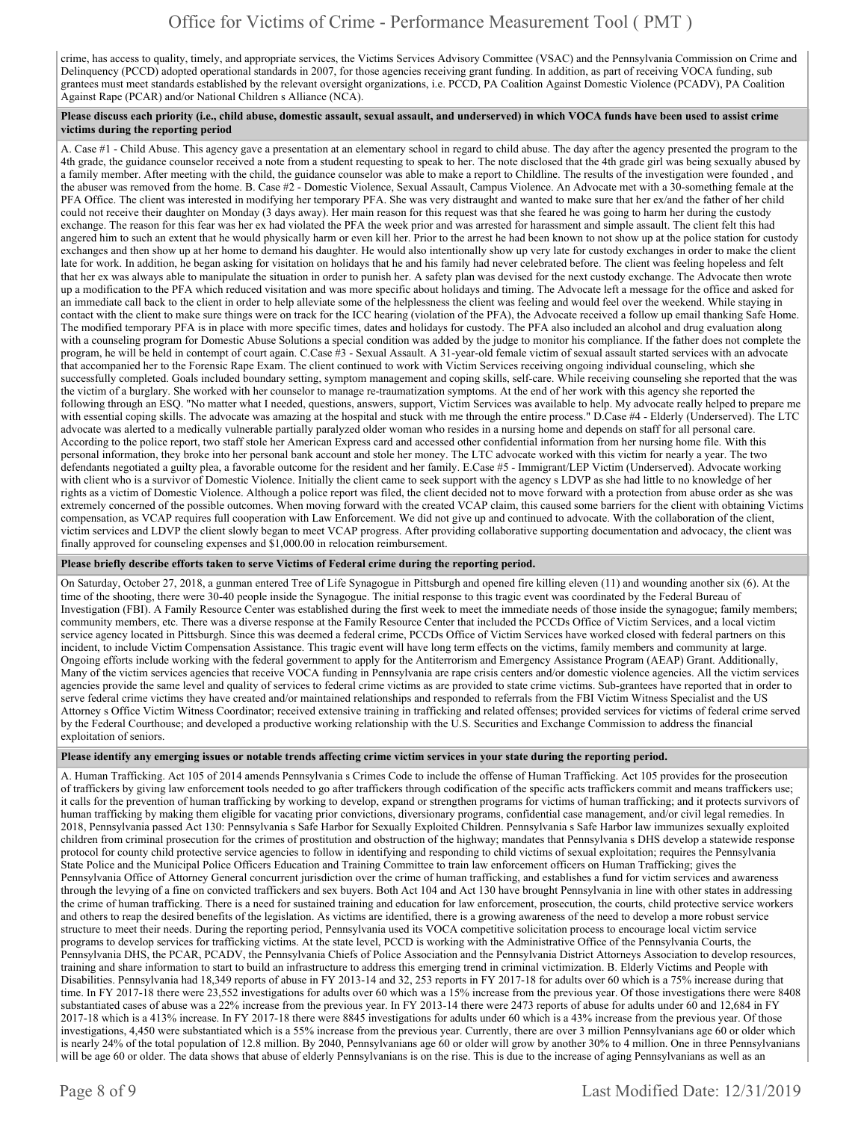crime, has access to quality, timely, and appropriate services, the Victims Services Advisory Committee (VSAC) and the Pennsylvania Commission on Crime and Delinquency (PCCD) adopted operational standards in 2007, for those agencies receiving grant funding. In addition, as part of receiving VOCA funding, sub grantees must meet standards established by the relevant oversight organizations, i.e. PCCD, PA Coalition Against Domestic Violence (PCADV), PA Coalition Against Rape (PCAR) and/or National Children s Alliance (NCA).

#### **Please discuss each priority (i.e., child abuse, domestic assault, sexual assault, and underserved) in which VOCA funds have been used to assist crime victims during the reporting period**

A. Case #1 - Child Abuse. This agency gave a presentation at an elementary school in regard to child abuse. The day after the agency presented the program to the 4th grade, the guidance counselor received a note from a student requesting to speak to her. The note disclosed that the 4th grade girl was being sexually abused by a family member. After meeting with the child, the guidance counselor was able to make a report to Childline. The results of the investigation were founded , and the abuser was removed from the home. B. Case #2 - Domestic Violence, Sexual Assault, Campus Violence. An Advocate met with a 30-something female at the PFA Office. The client was interested in modifying her temporary PFA. She was very distraught and wanted to make sure that her ex/and the father of her child could not receive their daughter on Monday (3 days away). Her main reason for this request was that she feared he was going to harm her during the custody exchange. The reason for this fear was her ex had violated the PFA the week prior and was arrested for harassment and simple assault. The client felt this had angered him to such an extent that he would physically harm or even kill her. Prior to the arrest he had been known to not show up at the police station for custody exchanges and then show up at her home to demand his daughter. He would also intentionally show up very late for custody exchanges in order to make the client late for work. In addition, he began asking for visitation on holidays that he and his family had never celebrated before. The client was feeling hopeless and felt that her ex was always able to manipulate the situation in order to punish her. A safety plan was devised for the next custody exchange. The Advocate then wrote up a modification to the PFA which reduced visitation and was more specific about holidays and timing. The Advocate left a message for the office and asked for an immediate call back to the client in order to help alleviate some of the helplessness the client was feeling and would feel over the weekend. While staying in contact with the client to make sure things were on track for the ICC hearing (violation of the PFA), the Advocate received a follow up email thanking Safe Home. The modified temporary PFA is in place with more specific times, dates and holidays for custody. The PFA also included an alcohol and drug evaluation along with a counseling program for Domestic Abuse Solutions a special condition was added by the judge to monitor his compliance. If the father does not complete the program, he will be held in contempt of court again. C.Case #3 - Sexual Assault. A 31-year-old female victim of sexual assault started services with an advocate that accompanied her to the Forensic Rape Exam. The client continued to work with Victim Services receiving ongoing individual counseling, which she successfully completed. Goals included boundary setting, symptom management and coping skills, self-care. While receiving counseling she reported that the was the victim of a burglary. She worked with her counselor to manage re-traumatization symptoms. At the end of her work with this agency she reported the following through an ESQ. "No matter what I needed, questions, answers, support, Victim Services was available to help. My advocate really helped to prepare me with essential coping skills. The advocate was amazing at the hospital and stuck with me through the entire process." D.Case #4 - Elderly (Underserved). The LTC advocate was alerted to a medically vulnerable partially paralyzed older woman who resides in a nursing home and depends on staff for all personal care. According to the police report, two staff stole her American Express card and accessed other confidential information from her nursing home file. With this personal information, they broke into her personal bank account and stole her money. The LTC advocate worked with this victim for nearly a year. The two defendants negotiated a guilty plea, a favorable outcome for the resident and her family. E.Case #5 - Immigrant/LEP Victim (Underserved). Advocate working with client who is a survivor of Domestic Violence. Initially the client came to seek support with the agency s LDVP as she had little to no knowledge of her rights as a victim of Domestic Violence. Although a police report was filed, the client decided not to move forward with a protection from abuse order as she was extremely concerned of the possible outcomes. When moving forward with the created VCAP claim, this caused some barriers for the client with obtaining Victims compensation, as VCAP requires full cooperation with Law Enforcement. We did not give up and continued to advocate. With the collaboration of the client, victim services and LDVP the client slowly began to meet VCAP progress. After providing collaborative supporting documentation and advocacy, the client was finally approved for counseling expenses and \$1,000.00 in relocation reimbursement.

#### **Please briefly describe efforts taken to serve Victims of Federal crime during the reporting period.**

On Saturday, October 27, 2018, a gunman entered Tree of Life Synagogue in Pittsburgh and opened fire killing eleven (11) and wounding another six (6). At the time of the shooting, there were 30-40 people inside the Synagogue. The initial response to this tragic event was coordinated by the Federal Bureau of Investigation (FBI). A Family Resource Center was established during the first week to meet the immediate needs of those inside the synagogue; family members; community members, etc. There was a diverse response at the Family Resource Center that included the PCCDs Office of Victim Services, and a local victim service agency located in Pittsburgh. Since this was deemed a federal crime, PCCDs Office of Victim Services have worked closed with federal partners on this incident, to include Victim Compensation Assistance. This tragic event will have long term effects on the victims, family members and community at large. Ongoing efforts include working with the federal government to apply for the Antiterrorism and Emergency Assistance Program (AEAP) Grant. Additionally, Many of the victim services agencies that receive VOCA funding in Pennsylvania are rape crisis centers and/or domestic violence agencies. All the victim services agencies provide the same level and quality of services to federal crime victims as are provided to state crime victims. Sub-grantees have reported that in order to serve federal crime victims they have created and/or maintained relationships and responded to referrals from the FBI Victim Witness Specialist and the US Attorney s Office Victim Witness Coordinator; received extensive training in trafficking and related offenses; provided services for victims of federal crime served by the Federal Courthouse; and developed a productive working relationship with the U.S. Securities and Exchange Commission to address the financial exploitation of seniors.

#### **Please identify any emerging issues or notable trends affecting crime victim services in your state during the reporting period.**

A. Human Trafficking. Act 105 of 2014 amends Pennsylvania s Crimes Code to include the offense of Human Trafficking. Act 105 provides for the prosecution of traffickers by giving law enforcement tools needed to go after traffickers through codification of the specific acts traffickers commit and means traffickers use; it calls for the prevention of human trafficking by working to develop, expand or strengthen programs for victims of human trafficking; and it protects survivors of human trafficking by making them eligible for vacating prior convictions, diversionary programs, confidential case management, and/or civil legal remedies. In 2018, Pennsylvania passed Act 130: Pennsylvania s Safe Harbor for Sexually Exploited Children. Pennsylvania s Safe Harbor law immunizes sexually exploited children from criminal prosecution for the crimes of prostitution and obstruction of the highway; mandates that Pennsylvania s DHS develop a statewide response protocol for county child protective service agencies to follow in identifying and responding to child victims of sexual exploitation; requires the Pennsylvania State Police and the Municipal Police Officers Education and Training Committee to train law enforcement officers on Human Trafficking; gives the Pennsylvania Office of Attorney General concurrent jurisdiction over the crime of human trafficking, and establishes a fund for victim services and awareness through the levying of a fine on convicted traffickers and sex buyers. Both Act 104 and Act 130 have brought Pennsylvania in line with other states in addressing the crime of human trafficking. There is a need for sustained training and education for law enforcement, prosecution, the courts, child protective service workers and others to reap the desired benefits of the legislation. As victims are identified, there is a growing awareness of the need to develop a more robust service structure to meet their needs. During the reporting period, Pennsylvania used its VOCA competitive solicitation process to encourage local victim service programs to develop services for trafficking victims. At the state level, PCCD is working with the Administrative Office of the Pennsylvania Courts, the Pennsylvania DHS, the PCAR, PCADV, the Pennsylvania Chiefs of Police Association and the Pennsylvania District Attorneys Association to develop resources, training and share information to start to build an infrastructure to address this emerging trend in criminal victimization. B. Elderly Victims and People with Disabilities. Pennsylvania had 18,349 reports of abuse in FY 2013-14 and 32, 253 reports in FY 2017-18 for adults over 60 which is a 75% increase during that time. In FY 2017-18 there were 23,552 investigations for adults over 60 which was a 15% increase from the previous year. Of those investigations there were 8408 substantiated cases of abuse was a 22% increase from the previous year. In FY 2013-14 there were 2473 reports of abuse for adults under 60 and 12,684 in FY 2017-18 which is a 413% increase. In FY 2017-18 there were 8845 investigations for adults under 60 which is a 43% increase from the previous year. Of those investigations, 4,450 were substantiated which is a 55% increase from the previous year. Currently, there are over 3 million Pennsylvanians age 60 or older which is nearly 24% of the total population of 12.8 million. By 2040, Pennsylvanians age 60 or older will grow by another 30% to 4 million. One in three Pennsylvanians will be age 60 or older. The data shows that abuse of elderly Pennsylvanians is on the rise. This is due to the increase of aging Pennsylvanians as well as an